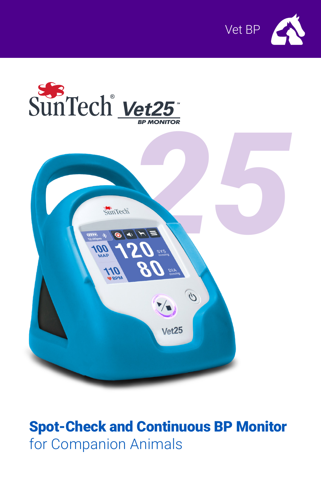





# Spot-Check and Continuous BP Monitor for Companion Animals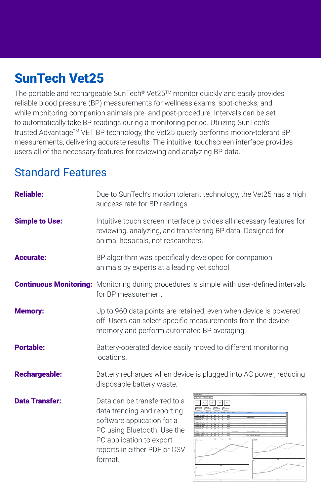# SunTech Vet25

The portable and rechargeable SunTech® Vet25™ monitor quickly and easily provides reliable blood pressure (BP) measurements for wellness exams, spot-checks, and while monitoring companion animals pre- and post-procedure. Intervals can be set to automatically take BP readings during a monitoring period. Utilizing SunTech's trusted Advantage™ VET BP technology, the Vet25 quietly performs motion-tolerant BP measurements, delivering accurate results. The intuitive, touchscreen interface provides users all of the necessary features for reviewing and analyzing BP data.

## Standard Features

| <b>Reliable:</b>      | Due to SunTech's motion tolerant technology, the Vet25 has a high<br>success rate for BP readings.                                                                                              |  |  |
|-----------------------|-------------------------------------------------------------------------------------------------------------------------------------------------------------------------------------------------|--|--|
| <b>Simple to Use:</b> | Intuitive touch screen interface provides all necessary features for<br>reviewing, analyzing, and transferring BP data. Designed for<br>animal hospitals, not researchers.                      |  |  |
| <b>Accurate:</b>      | BP algorithm was specifically developed for companion<br>animals by experts at a leading vet school.                                                                                            |  |  |
|                       | <b>Continuous Monitoring:</b> Monitoring during procedures is simple with user-defined intervals<br>for BP measurement.                                                                         |  |  |
| <b>Memory:</b>        | Up to 960 data points are retained, even when device is powered<br>off. Users can select specific measurements from the device<br>memory and perform automated BP averaging.                    |  |  |
| <b>Portable:</b>      | Battery-operated device easily moved to different monitoring<br>locations.                                                                                                                      |  |  |
| <b>Rechargeable:</b>  | Battery recharges when device is plugged into AC power, reducing<br>disposable battery waste.                                                                                                   |  |  |
| <b>Data Transfer:</b> | Data can be transferred to a<br>data trending and reporting<br>software application for a<br>PC using Bluetooth. Use the<br>PC application to export<br>reports in either PDF or CSV<br>format. |  |  |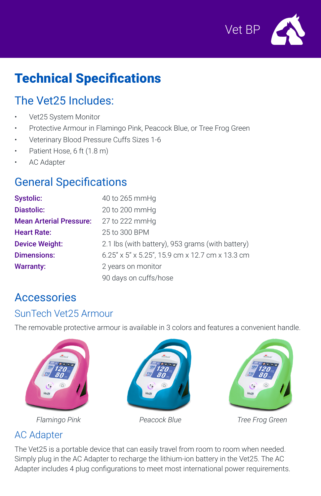

# Technical Specifications

## The Vet25 Includes:

- Vet25 System Monitor
- Protective Armour in Flamingo Pink, Peacock Blue, or Tree Frog Green
- Veterinary Blood Pressure Cuffs Sizes 1-6
- Patient Hose, 6 ft (1.8 m)
- **AC Adapter**

## General Specifications

| <b>Systolic:</b>               | 40 to 265 mmHg                                            |  |
|--------------------------------|-----------------------------------------------------------|--|
| <b>Diastolic:</b>              | 20 to 200 mmHg                                            |  |
| <b>Mean Arterial Pressure:</b> | 27 to 222 mmHg                                            |  |
| <b>Heart Rate:</b>             | 25 to 300 BPM                                             |  |
| <b>Device Weight:</b>          | 2.1 lbs (with battery), 953 grams (with battery)          |  |
| <b>Dimensions:</b>             | $6.25''$ x $5''$ x $5.25''$ , 15.9 cm x 12.7 cm x 13.3 cm |  |
| <b>Warranty:</b>               | 2 years on monitor                                        |  |
|                                | 90 days on cuffs/hose                                     |  |

## Accessories

### SunTech Vet25 Armour

The removable protective armour is available in 3 colors and features a convenient handle.



### AC Adapter

The Vet25 is a portable device that can easily travel from room to room when needed. Simply plug in the AC Adapter to recharge the lithium-ion battery in the Vet25. The AC Adapter includes 4 plug configurations to meet most international power requirements.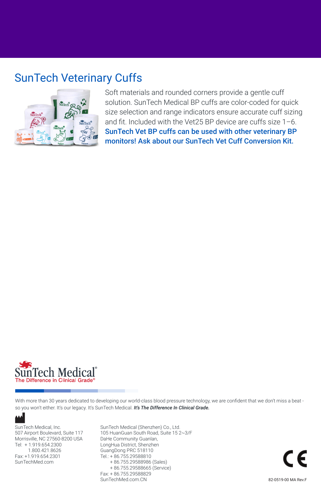## SunTech Veterinary Cuffs



Soft materials and rounded corners provide a gentle cuff solution. SunTech Medical BP cuffs are color-coded for quick size selection and range indicators ensure accurate cuff sizing and fit. Included with the Vet25 BP device are cuffs size 1–6. SunTech Vet BP cuffs can be used with other veterinary BP monitors! Ask about our SunTech Vet Cuff Conversion Kit.



With more than 30 years dedicated to developing our world-class blood pressure technology, we are confident that we don't miss a beat so you won't either. It's our legacy. It's SunTech Medical. *It's The Difference In Clinical Grade.* 

SunTech Medical, Inc. 507 Airport Boulevard, Suite 117 Morrisville, NC 27560-8200 USA Tel: + 1.919.654.2300 1.800.421.8626 Fax: +1.919.654.2301 SunTechMed.com

SunTech Medical (Shenzhen) Co., Ltd. 105 HuanGuan South Road, Suite 15 2~3/F DaHe Community Guanlan, LongHua District, Shenzhen GuangDong PRC 518110 Tel.: + 86.755.29588810 + 86.755.29588986 (Sales) + 86.755.29588665 (Service) Fax: + 86.755.29588829 SunTechMed.com.CN

82-0519-00 MA Rev.F